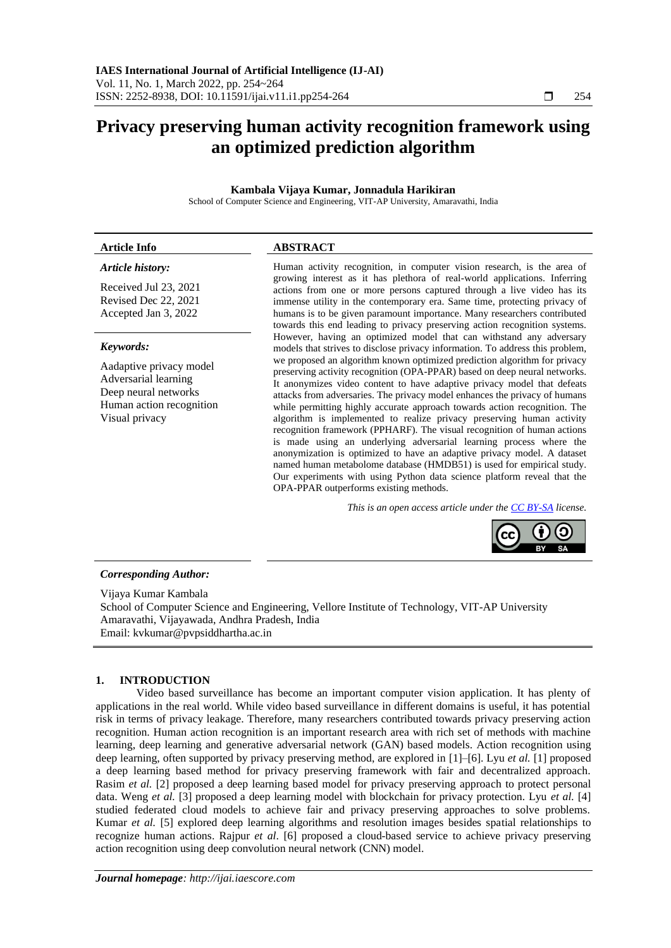# **Privacy preserving human activity recognition framework using an optimized prediction algorithm**

# **Kambala Vijaya Kumar, Jonnadula Harikiran**

School of Computer Science and Engineering, VIT-AP University, Amaravathi, India

# **Article Info ABSTRACT**

# *Article history:*

Received Jul 23, 2021 Revised Dec 22, 2021 Accepted Jan 3, 2022

# *Keywords:*

Aadaptive privacy model Adversarial learning Deep neural networks Human action recognition Visual privacy

Human activity recognition, in computer vision research, is the area of growing interest as it has plethora of real-world applications. Inferring actions from one or more persons captured through a live video has its immense utility in the contemporary era. Same time, protecting privacy of humans is to be given paramount importance. Many researchers contributed towards this end leading to privacy preserving action recognition systems. However, having an optimized model that can withstand any adversary models that strives to disclose privacy information. To address this problem, we proposed an algorithm known optimized prediction algorithm for privacy preserving activity recognition (OPA-PPAR) based on deep neural networks. It anonymizes video content to have adaptive privacy model that defeats attacks from adversaries. The privacy model enhances the privacy of humans while permitting highly accurate approach towards action recognition. The algorithm is implemented to realize privacy preserving human activity recognition framework (PPHARF). The visual recognition of human actions is made using an underlying adversarial learning process where the anonymization is optimized to have an adaptive privacy model. A dataset named human metabolome database (HMDB51) is used for empirical study. Our experiments with using Python data science platform reveal that the OPA-PPAR outperforms existing methods.

*This is an open access article under th[e CC BY-SA](https://creativecommons.org/licenses/by-sa/4.0/) license.*

# *Corresponding Author:*

Vijaya Kumar Kambala School of Computer Science and Engineering, Vellore Institute of Technology, VIT-AP University Amaravathi, Vijayawada, Andhra Pradesh, India Email: [kvkumar@pvpsiddhartha.ac.in](mailto:kvkumar@pvpsiddhartha.ac.in)

# **1. INTRODUCTION**

Video based surveillance has become an important computer vision application. It has plenty of applications in the real world. While video based surveillance in different domains is useful, it has potential risk in terms of privacy leakage. Therefore, many researchers contributed towards privacy preserving action recognition. Human action recognition is an important research area with rich set of methods with machine learning, deep learning and generative adversarial network (GAN) based models. Action recognition using deep learning, often supported by privacy preserving method, are explored in [1]–[6]. Lyu *et al.* [1] proposed a deep learning based method for privacy preserving framework with fair and decentralized approach. Rasim *et al.* [2] proposed a deep learning based model for privacy preserving approach to protect personal data. Weng *et al.* [3] proposed a deep learning model with blockchain for privacy protection. Lyu *et al.* [4] studied federated cloud models to achieve fair and privacy preserving approaches to solve problems. Kumar *et al.* [5] explored deep learning algorithms and resolution images besides spatial relationships to recognize human actions. Rajpur *et al*. [6] proposed a cloud-based service to achieve privacy preserving action recognition using deep convolution neural network (CNN) model.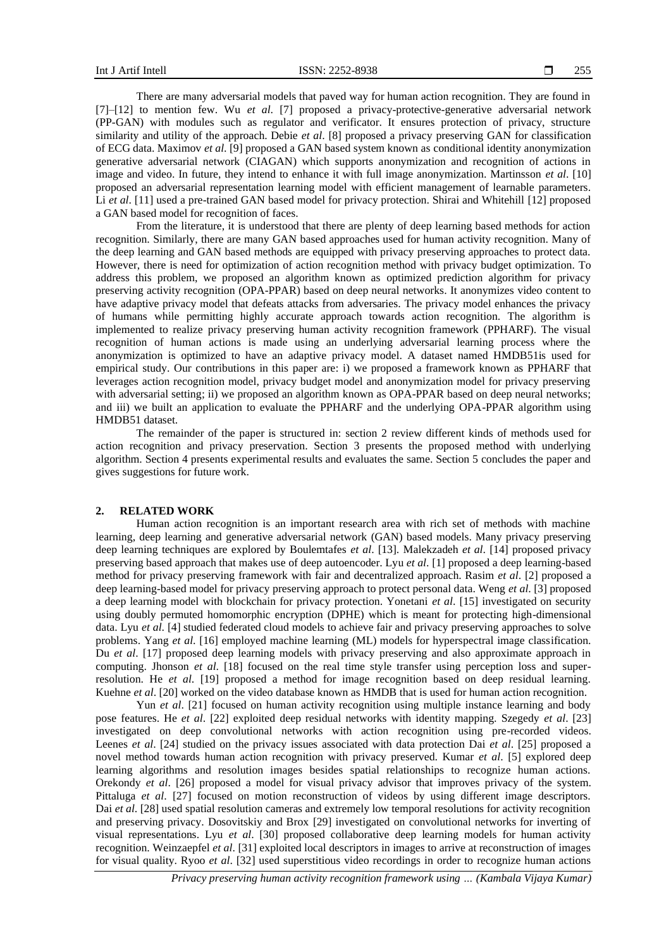There are many adversarial models that paved way for human action recognition. They are found in [7]–[12] to mention few. Wu *et al*. [7] proposed a privacy-protective-generative adversarial network (PP-GAN) with modules such as regulator and verificator. It ensures protection of privacy, structure similarity and utility of the approach. Debie *et al*. [8] proposed a privacy preserving GAN for classification of ECG data. Maximov *et al*. [9] proposed a GAN based system known as conditional identity anonymization generative adversarial network (CIAGAN) which supports anonymization and recognition of actions in image and video. In future, they intend to enhance it with full image anonymization. Martinsson *et al*. [10] proposed an adversarial representation learning model with efficient management of learnable parameters. Li *et al.* [11] used a pre-trained GAN based model for privacy protection. Shirai and Whitehill [12] proposed a GAN based model for recognition of faces.

From the literature, it is understood that there are plenty of deep learning based methods for action recognition. Similarly, there are many GAN based approaches used for human activity recognition. Many of the deep learning and GAN based methods are equipped with privacy preserving approaches to protect data. However, there is need for optimization of action recognition method with privacy budget optimization. To address this problem, we proposed an algorithm known as optimized prediction algorithm for privacy preserving activity recognition (OPA-PPAR) based on deep neural networks. It anonymizes video content to have adaptive privacy model that defeats attacks from adversaries. The privacy model enhances the privacy of humans while permitting highly accurate approach towards action recognition. The algorithm is implemented to realize privacy preserving human activity recognition framework (PPHARF). The visual recognition of human actions is made using an underlying adversarial learning process where the anonymization is optimized to have an adaptive privacy model. A dataset named HMDB51is used for empirical study. Our contributions in this paper are: i) we proposed a framework known as PPHARF that leverages action recognition model, privacy budget model and anonymization model for privacy preserving with adversarial setting; ii) we proposed an algorithm known as OPA-PPAR based on deep neural networks; and iii) we built an application to evaluate the PPHARF and the underlying OPA-PPAR algorithm using HMDB51 dataset.

The remainder of the paper is structured in: section 2 review different kinds of methods used for action recognition and privacy preservation. Section 3 presents the proposed method with underlying algorithm. Section 4 presents experimental results and evaluates the same. Section 5 concludes the paper and gives suggestions for future work.

# **2. RELATED WORK**

Human action recognition is an important research area with rich set of methods with machine learning, deep learning and generative adversarial network (GAN) based models. Many privacy preserving deep learning techniques are explored by Boulemtafes *et al*. [13]. Malekzadeh *et al*. [14] proposed privacy preserving based approach that makes use of deep autoencoder. Lyu *et al*. [1] proposed a deep learning-based method for privacy preserving framework with fair and decentralized approach. Rasim *et al*. [2] proposed a deep learning-based model for privacy preserving approach to protect personal data. Weng *et al*. [3] proposed a deep learning model with blockchain for privacy protection. Yonetani *et al*. [15] investigated on security using doubly permuted homomorphic encryption (DPHE) which is meant for protecting high-dimensional data. Lyu *et al*. [4] studied federated cloud models to achieve fair and privacy preserving approaches to solve problems. Yang *et al*. [16] employed machine learning (ML) models for hyperspectral image classification. Du *et al*. [17] proposed deep learning models with privacy preserving and also approximate approach in computing. Jhonson *et al*. [18] focused on the real time style transfer using perception loss and superresolution. He *et al*. [19] proposed a method for image recognition based on deep residual learning. Kuehne *et al*. [20] worked on the video database known as HMDB that is used for human action recognition.

Yun *et al.* [21] focused on human activity recognition using multiple instance learning and body pose features. He *et al*. [22] exploited deep residual networks with identity mapping. Szegedy *et al*. [23] investigated on deep convolutional networks with action recognition using pre-recorded videos. Leenes *et al*. [24] studied on the privacy issues associated with data protection Dai *et al*. [25] proposed a novel method towards human action recognition with privacy preserved. Kumar *et al*. [5] explored deep learning algorithms and resolution images besides spatial relationships to recognize human actions. Orekondy *et al*. [26] proposed a model for visual privacy advisor that improves privacy of the system. Pittaluga *et al*. [27] focused on motion reconstruction of videos by using different image descriptors. Dai *et al*. [28] used spatial resolution cameras and extremely low temporal resolutions for activity recognition and preserving privacy. Dosovitskiy and Brox [29] investigated on convolutional networks for inverting of visual representations. Lyu *et al*. [30] proposed collaborative deep learning models for human activity recognition. Weinzaepfel *et al*. [31] exploited local descriptors in images to arrive at reconstruction of images for visual quality. Ryoo *et al*. [32] used superstitious video recordings in order to recognize human actions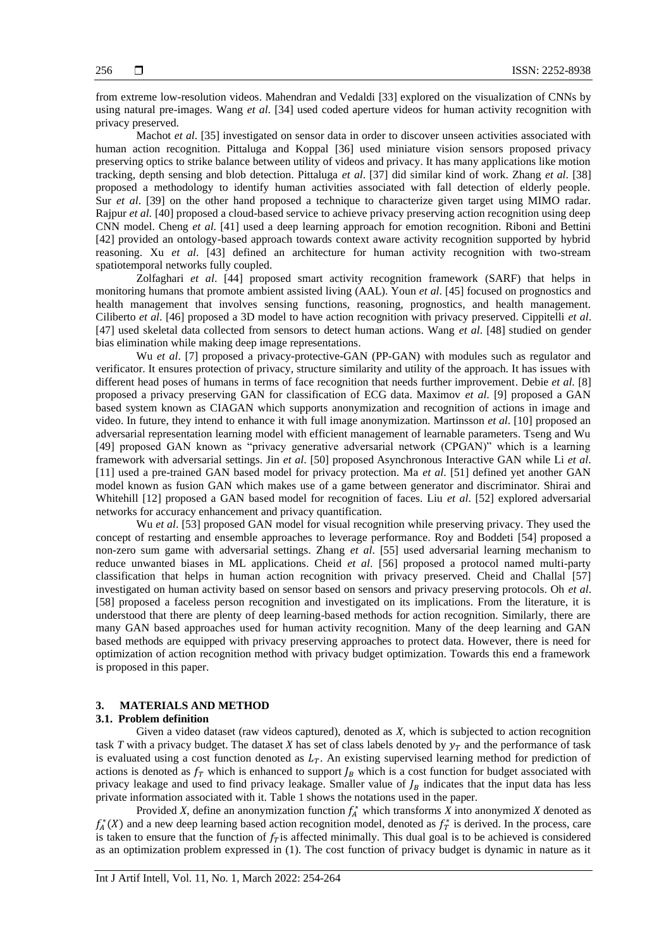from extreme low-resolution videos. Mahendran and Vedaldi [33] explored on the visualization of CNNs by using natural pre-images. Wang *et al*. [34] used coded aperture videos for human activity recognition with privacy preserved.

Machot *et al*. [35] investigated on sensor data in order to discover unseen activities associated with human action recognition. Pittaluga and Koppal [36] used miniature vision sensors proposed privacy preserving optics to strike balance between utility of videos and privacy. It has many applications like motion tracking, depth sensing and blob detection. Pittaluga *et al*. [37] did similar kind of work. Zhang *et al*. [38] proposed a methodology to identify human activities associated with fall detection of elderly people. Sur *et al*. [39] on the other hand proposed a technique to characterize given target using MIMO radar. Rajpur *et al*. [40] proposed a cloud-based service to achieve privacy preserving action recognition using deep CNN model. Cheng *et al*. [41] used a deep learning approach for emotion recognition. Riboni and Bettini [42] provided an ontology-based approach towards context aware activity recognition supported by hybrid reasoning. Xu *et al*. [43] defined an architecture for human activity recognition with two-stream spatiotemporal networks fully coupled.

Zolfaghari *et al*. [44] proposed smart activity recognition framework (SARF) that helps in monitoring humans that promote ambient assisted living (AAL). Youn *et al*. [45] focused on prognostics and health management that involves sensing functions, reasoning, prognostics, and health management. Ciliberto *et al*. [46] proposed a 3D model to have action recognition with privacy preserved. Cippitelli *et al*. [47] used skeletal data collected from sensors to detect human actions. Wang *et al*. [48] studied on gender bias elimination while making deep image representations.

Wu *et al.* [7] proposed a privacy-protective-GAN (PP-GAN) with modules such as regulator and verificator. It ensures protection of privacy, structure similarity and utility of the approach. It has issues with different head poses of humans in terms of face recognition that needs further improvement. Debie *et al*. [8] proposed a privacy preserving GAN for classification of ECG data. Maximov *et al*. [9] proposed a GAN based system known as CIAGAN which supports anonymization and recognition of actions in image and video. In future, they intend to enhance it with full image anonymization. Martinsson *et al*. [10] proposed an adversarial representation learning model with efficient management of learnable parameters. Tseng and Wu [49] proposed GAN known as "privacy generative adversarial network (CPGAN)" which is a learning framework with adversarial settings. Jin *et al*. [50] proposed Asynchronous Interactive GAN while Li *et al*. [11] used a pre-trained GAN based model for privacy protection. Ma *et al*. [51] defined yet another GAN model known as fusion GAN which makes use of a game between generator and discriminator. Shirai and Whitehill [12] proposed a GAN based model for recognition of faces. Liu *et al*. [52] explored adversarial networks for accuracy enhancement and privacy quantification.

Wu *et al.* [53] proposed GAN model for visual recognition while preserving privacy. They used the concept of restarting and ensemble approaches to leverage performance. Roy and Boddeti [54] proposed a non-zero sum game with adversarial settings. Zhang *et al*. [55] used adversarial learning mechanism to reduce unwanted biases in ML applications. Cheid *et al*. [56] proposed a protocol named multi-party classification that helps in human action recognition with privacy preserved. Cheid and Challal [57] investigated on human activity based on sensor based on sensors and privacy preserving protocols. Oh *et al*. [58] proposed a faceless person recognition and investigated on its implications. From the literature, it is understood that there are plenty of deep learning-based methods for action recognition. Similarly, there are many GAN based approaches used for human activity recognition. Many of the deep learning and GAN based methods are equipped with privacy preserving approaches to protect data. However, there is need for optimization of action recognition method with privacy budget optimization. Towards this end a framework is proposed in this paper.

### **3. MATERIALS AND METHOD**

# **3.1. Problem definition**

Given a video dataset (raw videos captured), denoted as *X*, which is subjected to action recognition task *T* with a privacy budget. The dataset *X* has set of class labels denoted by  $y<sub>T</sub>$  and the performance of task is evaluated using a cost function denoted as  $L<sub>T</sub>$ . An existing supervised learning method for prediction of actions is denoted as  $f<sub>T</sub>$  which is enhanced to support  $f<sub>B</sub>$  which is a cost function for budget associated with privacy leakage and used to find privacy leakage. Smaller value of  $I_B$  indicates that the input data has less private information associated with it. Table 1 shows the notations used in the paper.

Provided *X*, define an anonymization function  $f_A^*$  which transforms *X* into anonymized *X* denoted as  $f_A^*(X)$  and a new deep learning based action recognition model, denoted as  $f_T^*$  is derived. In the process, care is taken to ensure that the function of  $f<sub>T</sub>$  is affected minimally. This dual goal is to be achieved is considered as an optimization problem expressed in (1). The cost function of privacy budget is dynamic in nature as it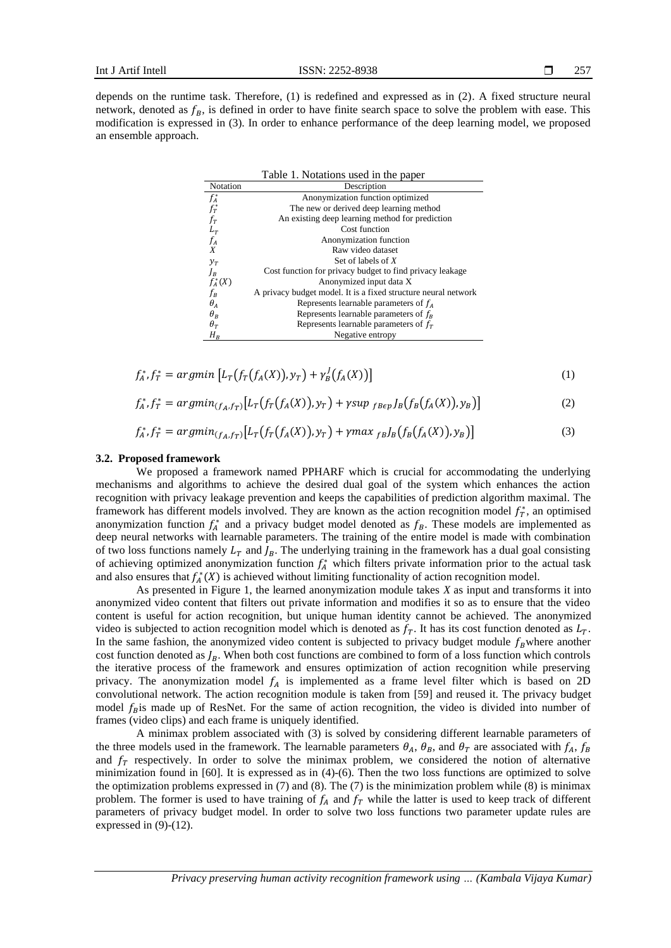depends on the runtime task. Therefore, (1) is redefined and expressed as in (2). A fixed structure neural network, denoted as  $f_R$ , is defined in order to have finite search space to solve the problem with ease. This modification is expressed in (3). In order to enhance performance of the deep learning model, we proposed an ensemble approach.

|             | Table 1. Notations used in the paper                           |
|-------------|----------------------------------------------------------------|
| Notation    | Description                                                    |
| $f^*_A$     | Anonymization function optimized                               |
| $f_T^*$     | The new or derived deep learning method                        |
| $f_T$       | An existing deep learning method for prediction                |
| $L_T$ $f_A$ | Cost function                                                  |
|             | Anonymization function                                         |
| X           | Raw video dataset                                              |
| $y_T$       | Set of labels of $X$                                           |
| $J_B$       | Cost function for privacy budget to find privacy leakage       |
| $f_A^*(X)$  | Anonymized input data X                                        |
| $f_B$       | A privacy budget model. It is a fixed structure neural network |
| $\theta_A$  | Represents learnable parameters of $fA$                        |
| $\theta_B$  | Represents learnable parameters of $f_R$                       |
| $\theta_T$  | Represents learnable parameters of $fT$                        |
| $H_B$       | Negative entropy                                               |

$$
f_A^*, f_T^* = \text{argmin} \left[ L_T(f_T(f_A(X)), y_T) + \gamma_B^J(f_A(X)) \right] \tag{1}
$$

$$
f_A^* f_T^* = \arg\min_{(f_A, f_T)} [L_T(f_T(f_A(X)), y_T) + \gamma \sup_{f_B \in p} J_B(f_B(f_A(X)), y_B)] \tag{2}
$$

$$
f_A^* f_T^* = argmin_{(f_A, f_T)} [L_T(f_T(f_A(X)), y_T) + \gamma max_{f_B} J_B(f_B(f_A(X)), y_B)] \tag{3}
$$

#### **3.2. Proposed framework**

We proposed a framework named PPHARF which is crucial for accommodating the underlying mechanisms and algorithms to achieve the desired dual goal of the system which enhances the action recognition with privacy leakage prevention and keeps the capabilities of prediction algorithm maximal. The framework has different models involved. They are known as the action recognition model  $f_T^*$ , an optimised anonymization function  $f_A^*$  and a privacy budget model denoted as  $f_B$ . These models are implemented as deep neural networks with learnable parameters. The training of the entire model is made with combination of two loss functions namely  $L_T$  and  $J_B$ . The underlying training in the framework has a dual goal consisting of achieving optimized anonymization function  $f_A^*$  which filters private information prior to the actual task and also ensures that  $f_A^*(X)$  is achieved without limiting functionality of action recognition model.

As presented in Figure 1, the learned anonymization module takes *X* as input and transforms it into anonymized video content that filters out private information and modifies it so as to ensure that the video content is useful for action recognition, but unique human identity cannot be achieved. The anonymized video is subjected to action recognition model which is denoted as  $f<sub>T</sub>$ . It has its cost function denoted as  $L<sub>T</sub>$ . In the same fashion, the anonymized video content is subjected to privacy budget module  $f_B$  where another cost function denoted as  $J_B$ . When both cost functions are combined to form of a loss function which controls the iterative process of the framework and ensures optimization of action recognition while preserving privacy. The anonymization model  $f_A$  is implemented as a frame level filter which is based on 2D convolutional network. The action recognition module is taken from [59] and reused it. The privacy budget model  $f_B$  is made up of ResNet. For the same of action recognition, the video is divided into number of frames (video clips) and each frame is uniquely identified.

A minimax problem associated with (3) is solved by considering different learnable parameters of the three models used in the framework. The learnable parameters  $\theta_A$ ,  $\theta_B$ , and  $\theta_T$  are associated with  $f_A$ ,  $f_B$ and  $f<sub>T</sub>$  respectively. In order to solve the minimax problem, we considered the notion of alternative minimization found in [60]. It is expressed as in (4)-(6). Then the two loss functions are optimized to solve the optimization problems expressed in  $(7)$  and  $(8)$ . The  $(7)$  is the minimization problem while  $(8)$  is minimax problem. The former is used to have training of  $f_A$  and  $f_T$  while the latter is used to keep track of different parameters of privacy budget model. In order to solve two loss functions two parameter update rules are expressed in  $(9)-(12)$ .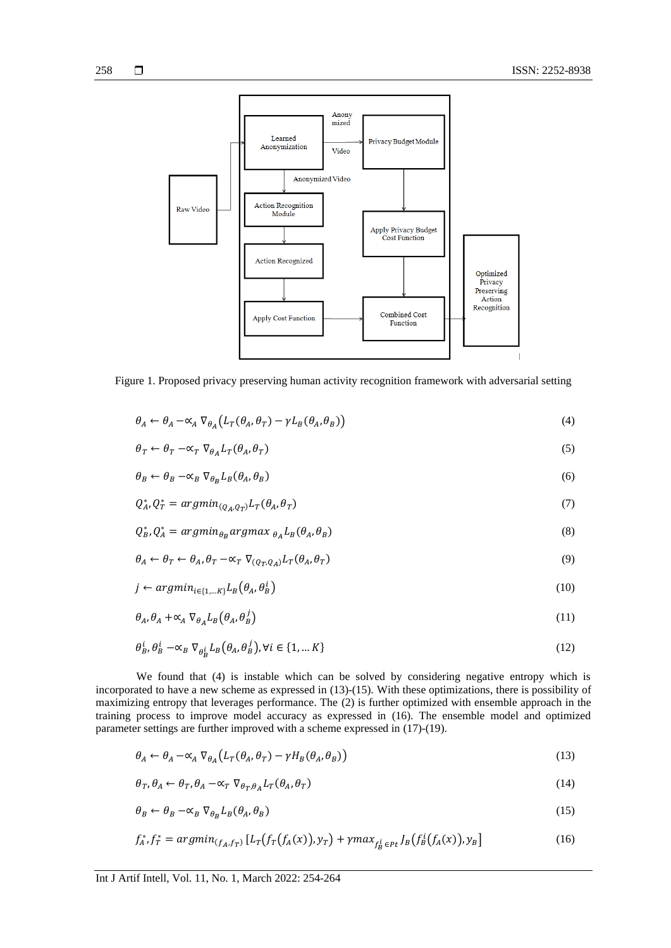

Figure 1. Proposed privacy preserving human activity recognition framework with adversarial setting

$$
\theta_A \leftarrow \theta_A - \alpha_A \nabla_{\theta_A} \left( L_T(\theta_A, \theta_T) - \gamma L_B(\theta_A, \theta_B) \right) \tag{4}
$$

$$
\theta_T \leftarrow \theta_T - \alpha_T \nabla_{\theta_A} L_T(\theta_A, \theta_T) \tag{5}
$$

$$
\theta_B \leftarrow \theta_B - \alpha_B \nabla_{\theta_B} L_B(\theta_A, \theta_B) \tag{6}
$$

$$
Q_A^*, Q_T^* = \operatorname{argmin}_{(Q_A, Q_T)} L_T(\theta_A, \theta_T) \tag{7}
$$

$$
Q_B^*, Q_A^* = \operatorname{argmin}_{\theta_B} \operatorname{argmax}_{\theta_A} L_B(\theta_A, \theta_B)
$$
\n(8)

$$
\theta_A \leftarrow \theta_T \leftarrow \theta_A, \theta_T \leftarrow \propto_T \nabla_{(Q_T, Q_A)} L_T(\theta_A, \theta_T)
$$
\n(9)

$$
j \leftarrow argmin_{i \in \{1, \dots K\}} L_B(\theta_A, \theta_B^i) \tag{10}
$$

$$
\theta_A, \theta_A + \alpha_A \nabla_{\theta_A} L_B(\theta_A, \theta_B^j) \tag{11}
$$

$$
\theta_B^i, \theta_B^i - \alpha_B \nabla_{\theta_B^i} L_B(\theta_A, \theta_B^j), \forall i \in \{1, \dots K\}
$$
\n(12)

We found that (4) is instable which can be solved by considering negative entropy which is incorporated to have a new scheme as expressed in (13)-(15). With these optimizations, there is possibility of maximizing entropy that leverages performance. The (2) is further optimized with ensemble approach in the training process to improve model accuracy as expressed in (16). The ensemble model and optimized parameter settings are further improved with a scheme expressed in (17)-(19).

$$
\theta_A \leftarrow \theta_A - \alpha_A \nabla_{\theta_A} \left( L_T(\theta_A, \theta_T) - \gamma H_B(\theta_A, \theta_B) \right) \tag{13}
$$

$$
\theta_T, \theta_A \leftarrow \theta_T, \theta_A - \alpha_T \nabla_{\theta_T, \theta_A} L_T(\theta_A, \theta_T)
$$
\n(14)

$$
\theta_B \leftarrow \theta_B - \alpha_B \nabla_{\theta_B} L_B(\theta_A, \theta_B) \tag{15}
$$

$$
f_A^* f_T^* = \arg\min_{(f_A, f_T)} \left[ L_T(f_T(f_A(x)), y_T) + \gamma \max_{f_B^i \in Pt} J_B(f_B^i(f_A(x)), y_B) \right] \tag{16}
$$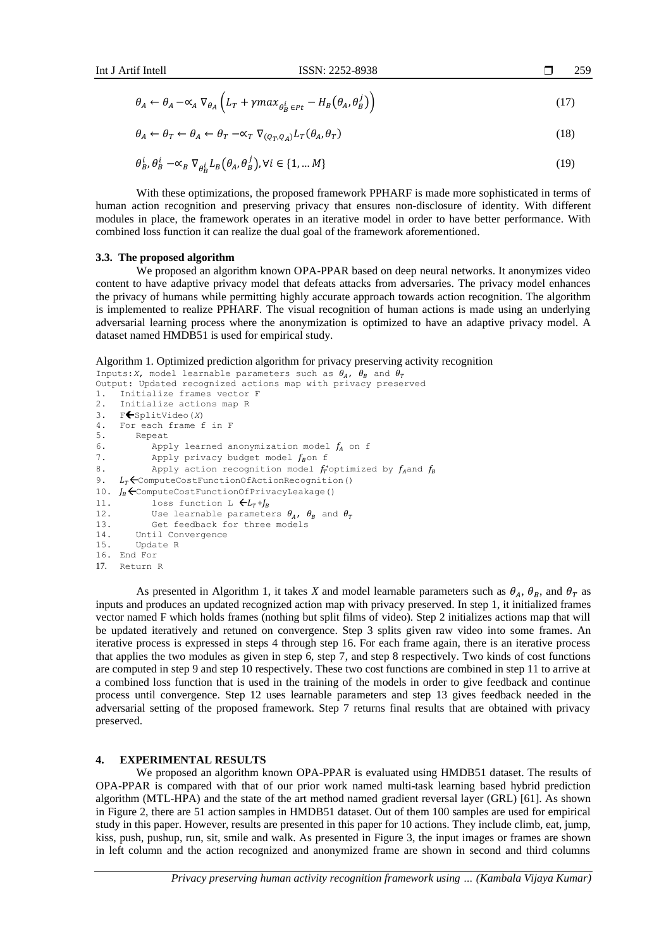$$
\theta_A \leftarrow \theta_A - \alpha_A \nabla_{\theta_A} \left( L_T + \gamma m a x_{\theta_B^i \in Pt} - H_B \left( \theta_A, \theta_B^j \right) \right) \tag{17}
$$

$$
\theta_A \leftarrow \theta_T \leftarrow \theta_A \leftarrow \theta_T - \alpha_T \nabla_{(Q_T, Q_A)} L_T(\theta_A, \theta_T)
$$
\n(18)

$$
\theta_B^i, \theta_B^i - \alpha_B \nabla_{\theta_B^i} L_B(\theta_A, \theta_B^j), \forall i \in \{1, \dots M\}
$$
\n(19)

With these optimizations, the proposed framework PPHARF is made more sophisticated in terms of human action recognition and preserving privacy that ensures non-disclosure of identity. With different modules in place, the framework operates in an iterative model in order to have better performance. With combined loss function it can realize the dual goal of the framework aforementioned.

#### **3.3. The proposed algorithm**

We proposed an algorithm known OPA-PPAR based on deep neural networks. It anonymizes video content to have adaptive privacy model that defeats attacks from adversaries. The privacy model enhances the privacy of humans while permitting highly accurate approach towards action recognition. The algorithm is implemented to realize PPHARF. The visual recognition of human actions is made using an underlying adversarial learning process where the anonymization is optimized to have an adaptive privacy model. A dataset named HMDB51 is used for empirical study.

Algorithm 1. Optimized prediction algorithm for privacy preserving activity recognition

```
Inputs:X, model learnable parameters such as \theta_A, \theta_B and \theta_TOutput: Updated recognized actions map with privacy preserved 
1. Initialize frames vector F
2. Initialize actions map R
3. F SplitVideo(X)
4. For each frame f in F
5. Repeat
6. Apply learned anonymization model f_A on f
7. Apply privacy budget model f_Bon f
8. Apply action recognition model f^*_Toptimized by f_Aand f_B9. L<sub>T</sub> \leftarrow ComputeCostFunctionOfActionRecognition()
10. J_B \leftarrowComputeCostFunctionOfPrivacyLeakage()
11. loss function L \leftarrow L_T + J_R12. Use learnable parameters \theta_A, \theta_B and \theta_T<br>13. Get feedback for three models
           Get feedback for three models
14. Until Convergence<br>15. Update R
        Update R
16. End For
17. Return R
```
As presented in Algorithm 1, it takes *X* and model learnable parameters such as  $\theta_A$ ,  $\theta_B$ , and  $\theta_T$  as inputs and produces an updated recognized action map with privacy preserved. In step 1, it initialized frames vector named F which holds frames (nothing but split films of video). Step 2 initializes actions map that will be updated iteratively and retuned on convergence. Step 3 splits given raw video into some frames. An iterative process is expressed in steps 4 through step 16. For each frame again, there is an iterative process that applies the two modules as given in step 6, step 7, and step 8 respectively. Two kinds of cost functions are computed in step 9 and step 10 respectively. These two cost functions are combined in step 11 to arrive at a combined loss function that is used in the training of the models in order to give feedback and continue process until convergence. Step 12 uses learnable parameters and step 13 gives feedback needed in the adversarial setting of the proposed framework. Step 7 returns final results that are obtained with privacy preserved.

## **4. EXPERIMENTAL RESULTS**

We proposed an algorithm known OPA-PPAR is evaluated using HMDB51 dataset. The results of OPA-PPAR is compared with that of our prior work named multi-task learning based hybrid prediction algorithm (MTL-HPA) and the state of the art method named gradient reversal layer (GRL) [61]. As shown in Figure 2, there are 51 action samples in HMDB51 dataset. Out of them 100 samples are used for empirical study in this paper. However, results are presented in this paper for 10 actions. They include climb, eat, jump, kiss, push, pushup, run, sit, smile and walk. As presented in Figure 3, the input images or frames are shown in left column and the action recognized and anonymized frame are shown in second and third columns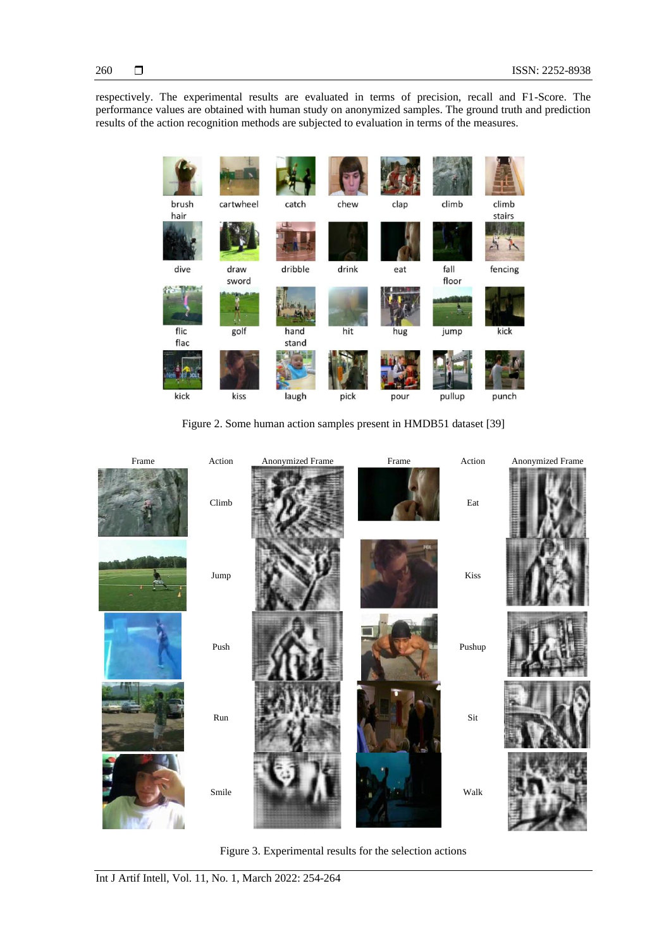# 260

respectively. The experimental results are evaluated in terms of precision, recall and F1-Score. The performance values are obtained with human study on anonymized samples. The ground truth and prediction results of the action recognition methods are subjected to evaluation in terms of the measures.

climb climb clap brush cartwheel catch chew hair stairs Ä, r fencing dive dribble drink fall draw eat sword floor **Side** flic golf hand hit hug jump kick flac stand kiss kick pour pullup laugh pick punch

Figure 2. Some human action samples present in HMDB51 dataset [39]

Frame Action Anonymized Frame Frame Action Anonymized Frame Climb **Eat** Jump Kiss Push Pushup Run Sit Smile Walk

Figure 3. Experimental results for the selection actions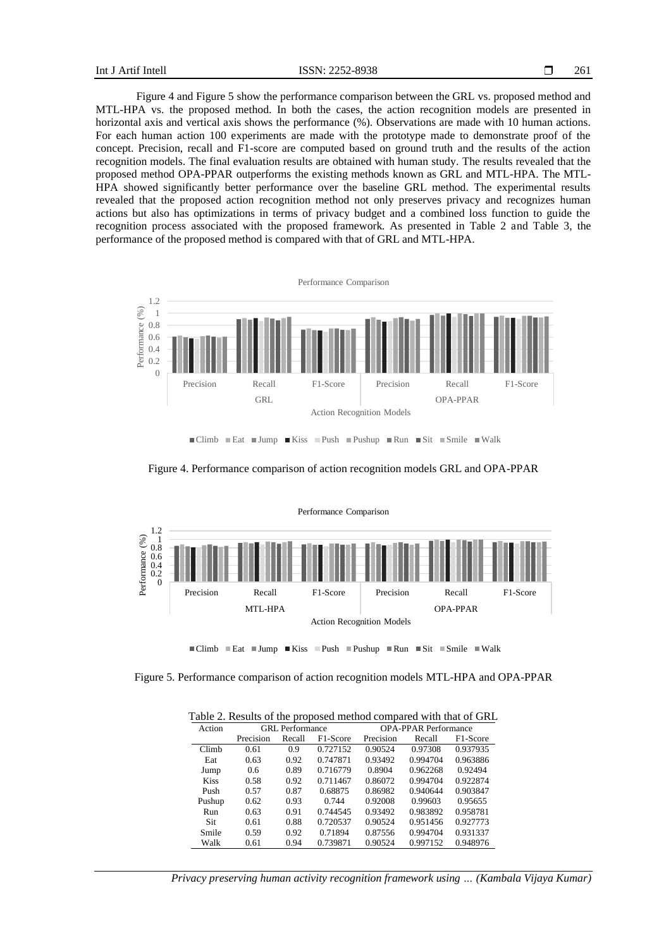Figure 4 and Figure 5 show the performance comparison between the GRL vs. proposed method and MTL-HPA vs. the proposed method. In both the cases, the action recognition models are presented in horizontal axis and vertical axis shows the performance (%). Observations are made with 10 human actions. For each human action 100 experiments are made with the prototype made to demonstrate proof of the concept. Precision, recall and F1-score are computed based on ground truth and the results of the action recognition models. The final evaluation results are obtained with human study. The results revealed that the proposed method OPA-PPAR outperforms the existing methods known as GRL and MTL-HPA. The MTL-HPA showed significantly better performance over the baseline GRL method. The experimental results revealed that the proposed action recognition method not only preserves privacy and recognizes human actions but also has optimizations in terms of privacy budget and a combined loss function to guide the recognition process associated with the proposed framework. As presented in Table 2 and Table 3, the performance of the proposed method is compared with that of GRL and MTL-HPA.



Figure 4. Performance comparison of action recognition models GRL and OPA-PPAR



 $\blacksquare$ Climb  $\blacksquare$ Eat  $\blacksquare$ Jump  $\blacksquare$ Kiss  $\blacksquare$ Pushup  $\blacksquare$ Run  $\blacksquare$ Sit  $\blacksquare$ Smile  $\blacksquare$ Walk

Figure 5. Performance comparison of action recognition models MTL-HPA and OPA-PPAR

Table 2. Results of the proposed method compared with that of GRL

| Action      | GRL Performance |        |          | <b>OPA-PPAR Performance</b> |          |          |  |  |
|-------------|-----------------|--------|----------|-----------------------------|----------|----------|--|--|
|             | Precision       | Recall | F1-Score | Precision                   | Recall   | F1-Score |  |  |
| Climb       | 0.61            | 0.9    | 0.727152 | 0.90524                     | 0.97308  | 0.937935 |  |  |
| Eat         | 0.63            | 0.92   | 0.747871 | 0.93492                     | 0.994704 | 0.963886 |  |  |
| Jump        | 0.6             | 0.89   | 0.716779 | 0.8904                      | 0.962268 | 0.92494  |  |  |
| <b>Kiss</b> | 0.58            | 0.92   | 0.711467 | 0.86072                     | 0.994704 | 0.922874 |  |  |
| Push        | 0.57            | 0.87   | 0.68875  | 0.86982                     | 0.940644 | 0.903847 |  |  |
| Pushup      | 0.62            | 0.93   | 0.744    | 0.92008                     | 0.99603  | 0.95655  |  |  |
| Run         | 0.63            | 0.91   | 0.744545 | 0.93492                     | 0.983892 | 0.958781 |  |  |
| Sit         | 0.61            | 0.88   | 0.720537 | 0.90524                     | 0.951456 | 0.927773 |  |  |
| Smile       | 0.59            | 0.92   | 0.71894  | 0.87556                     | 0.994704 | 0.931337 |  |  |
| Walk        | 0.61            | 0.94   | 0.739871 | 0.90524                     | 0.997152 | 0.948976 |  |  |

*Privacy preserving human activity recognition framework using … (Kambala Vijaya Kumar)*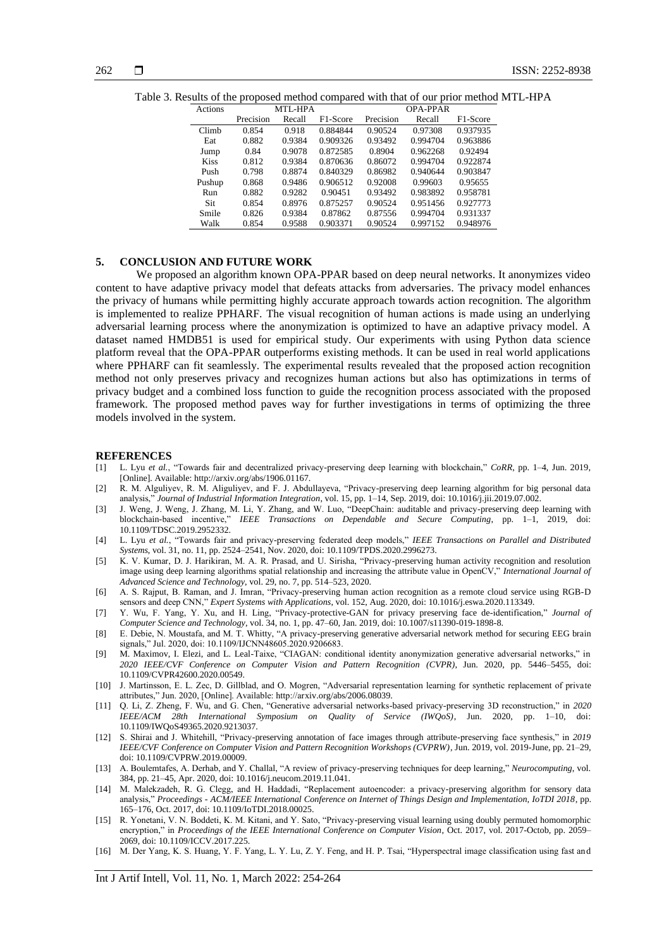| Actions     |           | MTL-HPA |                       | <b>OPA-PPAR</b> |          |                       |  |
|-------------|-----------|---------|-----------------------|-----------------|----------|-----------------------|--|
|             | Precision | Recall  | F <sub>1</sub> -Score | Precision       | Recall   | F <sub>1</sub> -Score |  |
| Climb       | 0.854     | 0.918   | 0.884844              | 0.90524         | 0.97308  | 0.937935              |  |
| Eat         | 0.882     | 0.9384  | 0.909326              | 0.93492         | 0.994704 | 0.963886              |  |
| Jump        | 0.84      | 0.9078  | 0.872585              | 0.8904          | 0.962268 | 0.92494               |  |
| <b>Kiss</b> | 0.812     | 0.9384  | 0.870636              | 0.86072         | 0.994704 | 0.922874              |  |
| Push        | 0.798     | 0.8874  | 0.840329              | 0.86982         | 0.940644 | 0.903847              |  |
| Pushup      | 0.868     | 0.9486  | 0.906512              | 0.92008         | 0.99603  | 0.95655               |  |
| Run         | 0.882     | 0.9282  | 0.90451               | 0.93492         | 0.983892 | 0.958781              |  |
| Sit         | 0.854     | 0.8976  | 0.875257              | 0.90524         | 0.951456 | 0.927773              |  |
| Smile       | 0.826     | 0.9384  | 0.87862               | 0.87556         | 0.994704 | 0.931337              |  |
| Walk        | 0.854     | 0.9588  | 0.903371              | 0.90524         | 0.997152 | 0.948976              |  |

Table 3. Results of the proposed method compared with that of our prior method MTL-HPA

### **5. CONCLUSION AND FUTURE WORK**

We proposed an algorithm known OPA-PPAR based on deep neural networks. It anonymizes video content to have adaptive privacy model that defeats attacks from adversaries. The privacy model enhances the privacy of humans while permitting highly accurate approach towards action recognition. The algorithm is implemented to realize PPHARF. The visual recognition of human actions is made using an underlying adversarial learning process where the anonymization is optimized to have an adaptive privacy model. A dataset named HMDB51 is used for empirical study. Our experiments with using Python data science platform reveal that the OPA-PPAR outperforms existing methods. It can be used in real world applications where PPHARF can fit seamlessly. The experimental results revealed that the proposed action recognition method not only preserves privacy and recognizes human actions but also has optimizations in terms of privacy budget and a combined loss function to guide the recognition process associated with the proposed framework. The proposed method paves way for further investigations in terms of optimizing the three models involved in the system.

#### **REFERENCES**

- [1] L. Lyu *et al.*, "Towards fair and decentralized privacy-preserving deep learning with blockchain," *CoRR*, pp. 1–4, Jun. 2019, [Online]. Available: http://arxiv.org/abs/1906.01167.
- [2] R. M. Alguliyev, R. M. Aliguliyev, and F. J. Abdullayeva, "Privacy-preserving deep learning algorithm for big personal data analysis," *Journal of Industrial Information Integration*, vol. 15, pp. 1–14, Sep. 2019, doi: 10.1016/j.jii.2019.07.002.
- [3] J. Weng, J. Weng, J. Zhang, M. Li, Y. Zhang, and W. Luo, "DeepChain: auditable and privacy-preserving deep learning with blockchain-based incentive," *IEEE Transactions on Dependable and Secure Computing*, pp. 1–1, 2019, doi: 10.1109/TDSC.2019.2952332.
- [4] L. Lyu *et al.*, "Towards fair and privacy-preserving federated deep models," *IEEE Transactions on Parallel and Distributed Systems*, vol. 31, no. 11, pp. 2524–2541, Nov. 2020, doi: 10.1109/TPDS.2020.2996273.
- [5] K. V. Kumar, D. J. Harikiran, M. A. R. Prasad, and U. Sirisha, "Privacy-preserving human activity recognition and resolution image using deep learning algorithms spatial relationship and increasing the attribute value in OpenCV," *International Journal of Advanced Science and Technology*, vol. 29, no. 7, pp. 514–523, 2020.
- [6] A. S. Rajput, B. Raman, and J. Imran, "Privacy-preserving human action recognition as a remote cloud service using RGB-D sensors and deep CNN," *Expert Systems with Applications*, vol. 152, Aug. 2020, doi: 10.1016/j.eswa.2020.113349.
- [7] Y. Wu, F. Yang, Y. Xu, and H. Ling, "Privacy-protective-GAN for privacy preserving face de-identification," *Journal of Computer Science and Technology*, vol. 34, no. 1, pp. 47–60, Jan. 2019, doi: 10.1007/s11390-019-1898-8.
- [8] E. Debie, N. Moustafa, and M. T. Whitty, "A privacy-preserving generative adversarial network method for securing EEG brain signals," Jul. 2020, doi: 10.1109/IJCNN48605.2020.9206683.
- [9] M. Maximov, I. Elezi, and L. Leal-Taixe, "CIAGAN: conditional identity anonymization generative adversarial networks," in *2020 IEEE/CVF Conference on Computer Vision and Pattern Recognition (CVPR)*, Jun. 2020, pp. 5446–5455, doi: 10.1109/CVPR42600.2020.00549.
- [10] J. Martinsson, E. L. Zec, D. Gillblad, and O. Mogren, "Adversarial representation learning for synthetic replacement of private attributes," Jun. 2020, [Online]. Available: http://arxiv.org/abs/2006.08039.
- [11] Q. Li, Z. Zheng, F. Wu, and G. Chen, "Generative adversarial networks-based privacy-preserving 3D reconstruction," in *2020 IEEE/ACM 28th International Symposium on Quality of Service (IWQoS)*, Jun. 2020, pp. 1–10, doi: 10.1109/IWQoS49365.2020.9213037.
- [12] S. Shirai and J. Whitehill, "Privacy-preserving annotation of face images through attribute-preserving face synthesis," in *2019 IEEE/CVF Conference on Computer Vision and Pattern Recognition Workshops (CVPRW)*, Jun. 2019, vol. 2019-June, pp. 21–29, doi: 10.1109/CVPRW.2019.00009.
- [13] A. Boulemtafes, A. Derhab, and Y. Challal, "A review of privacy-preserving techniques for deep learning," *Neurocomputing*, vol. 384, pp. 21–45, Apr. 2020, doi: 10.1016/j.neucom.2019.11.041.
- [14] M. Malekzadeh, R. G. Clegg, and H. Haddadi, "Replacement autoencoder: a privacy-preserving algorithm for sensory data analysis," *Proceedings - ACM/IEEE International Conference on Internet of Things Design and Implementation, IoTDI 2018*, pp. 165–176, Oct. 2017, doi: 10.1109/IoTDI.2018.00025.
- [15] R. Yonetani, V. N. Boddeti, K. M. Kitani, and Y. Sato, "Privacy-preserving visual learning using doubly permuted homomorphic encryption," in *Proceedings of the IEEE International Conference on Computer Vision*, Oct. 2017, vol. 2017-Octob, pp. 2059– 2069, doi: 10.1109/ICCV.2017.225.
- [16] M. Der Yang, K. S. Huang, Y. F. Yang, L. Y. Lu, Z. Y. Feng, and H. P. Tsai, "Hyperspectral image classification using fast and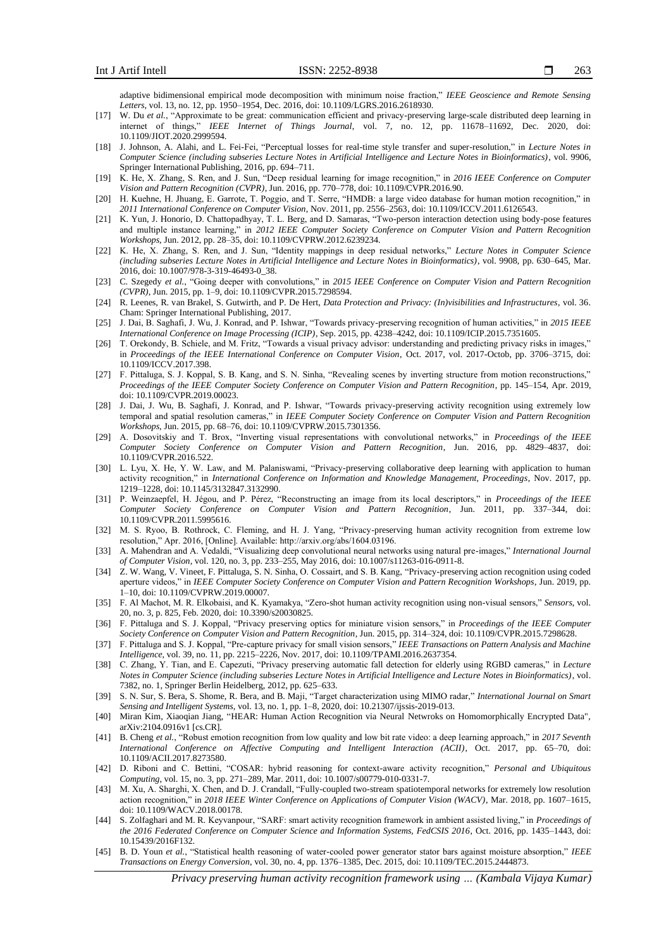adaptive bidimensional empirical mode decomposition with minimum noise fraction," *IEEE Geoscience and Remote Sensing Letters*, vol. 13, no. 12, pp. 1950–1954, Dec. 2016, doi: 10.1109/LGRS.2016.2618930.

- [17] W. Du *et al.*, "Approximate to be great: communication efficient and privacy-preserving large-scale distributed deep learning in internet of things," *IEEE Internet of Things Journal*, vol. 7, no. 12, pp. 11678–11692, Dec. 2020, doi: 10.1109/JIOT.2020.2999594.
- [18] J. Johnson, A. Alahi, and L. Fei-Fei, "Perceptual losses for real-time style transfer and super-resolution," in *Lecture Notes in Computer Science (including subseries Lecture Notes in Artificial Intelligence and Lecture Notes in Bioinformatics)*, vol. 9906, Springer International Publishing, 2016, pp. 694–711.
- [19] K. He, X. Zhang, S. Ren, and J. Sun, "Deep residual learning for image recognition," in *2016 IEEE Conference on Computer Vision and Pattern Recognition (CVPR)*, Jun. 2016, pp. 770–778, doi: 10.1109/CVPR.2016.90.
- [20] H. Kuehne, H. Jhuang, E. Garrote, T. Poggio, and T. Serre, "HMDB: a large video database for human motion recognition," in *2011 International Conference on Computer Vision*, Nov. 2011, pp. 2556–2563, doi: 10.1109/ICCV.2011.6126543.
- [21] K. Yun, J. Honorio, D. Chattopadhyay, T. L. Berg, and D. Samaras, "Two-person interaction detection using body-pose features and multiple instance learning," in *2012 IEEE Computer Society Conference on Computer Vision and Pattern Recognition Workshops*, Jun. 2012, pp. 28–35, doi: 10.1109/CVPRW.2012.6239234.
- [22] K. He, X. Zhang, S. Ren, and J. Sun, "Identity mappings in deep residual networks," *Lecture Notes in Computer Science (including subseries Lecture Notes in Artificial Intelligence and Lecture Notes in Bioinformatics)*, vol. 9908, pp. 630–645, Mar. 2016, doi: 10.1007/978-3-319-46493-0\_38.
- [23] C. Szegedy *et al.*, "Going deeper with convolutions," in *2015 IEEE Conference on Computer Vision and Pattern Recognition (CVPR)*, Jun. 2015, pp. 1–9, doi: 10.1109/CVPR.2015.7298594.
- [24] R. Leenes, R. van Brakel, S. Gutwirth, and P. De Hert, *Data Protection and Privacy: (In)visibilities and Infrastructures*, vol. 36. Cham: Springer International Publishing, 2017.
- [25] J. Dai, B. Saghafi, J. Wu, J. Konrad, and P. Ishwar, "Towards privacy-preserving recognition of human activities," in *2015 IEEE International Conference on Image Processing (ICIP)*, Sep. 2015, pp. 4238–4242, doi: 10.1109/ICIP.2015.7351605.
- [26] T. Orekondy, B. Schiele, and M. Fritz, "Towards a visual privacy advisor: understanding and predicting privacy risks in images," in *Proceedings of the IEEE International Conference on Computer Vision*, Oct. 2017, vol. 2017-Octob, pp. 3706–3715, doi: 10.1109/ICCV.2017.398.
- [27] F. Pittaluga, S. J. Koppal, S. B. Kang, and S. N. Sinha, "Revealing scenes by inverting structure from motion reconstructions," *Proceedings of the IEEE Computer Society Conference on Computer Vision and Pattern Recognition*, pp. 145–154, Apr. 2019, doi: 10.1109/CVPR.2019.00023.
- [28] J. Dai, J. Wu, B. Saghafi, J. Konrad, and P. Ishwar, "Towards privacy-preserving activity recognition using extremely low temporal and spatial resolution cameras," in *IEEE Computer Society Conference on Computer Vision and Pattern Recognition Workshops*, Jun. 2015, pp. 68–76, doi: 10.1109/CVPRW.2015.7301356.
- [29] A. Dosovitskiy and T. Brox, "Inverting visual representations with convolutional networks," in *Proceedings of the IEEE Computer Society Conference on Computer Vision and Pattern Recognition*, Jun. 2016, pp. 4829–4837, doi: 10.1109/CVPR.2016.522.
- [30] L. Lyu, X. He, Y. W. Law, and M. Palaniswami, "Privacy-preserving collaborative deep learning with application to human activity recognition," in *International Conference on Information and Knowledge Management, Proceedings*, Nov. 2017, pp. 1219–1228, doi: 10.1145/3132847.3132990.
- [31] P. Weinzaepfel, H. Jégou, and P. Pérez, "Reconstructing an image from its local descriptors," in *Proceedings of the IEEE Computer Society Conference on Computer Vision and Pattern Recognition*, Jun. 2011, pp. 337–344, doi: 10.1109/CVPR.2011.5995616.
- [32] M. S. Ryoo, B. Rothrock, C. Fleming, and H. J. Yang, "Privacy-preserving human activity recognition from extreme low resolution," Apr. 2016, [Online]. Available: http://arxiv.org/abs/1604.03196.
- [33] A. Mahendran and A. Vedaldi, "Visualizing deep convolutional neural networks using natural pre-images," *International Journal of Computer Vision*, vol. 120, no. 3, pp. 233–255, May 2016, doi: 10.1007/s11263-016-0911-8.
- [34] Z. W. Wang, V. Vineet, F. Pittaluga, S. N. Sinha, O. Cossairt, and S. B. Kang, "Privacy-preserving action recognition using coded aperture videos," in *IEEE Computer Society Conference on Computer Vision and Pattern Recognition Workshops*, Jun. 2019, pp. 1–10, doi: 10.1109/CVPRW.2019.00007.
- [35] F. Al Machot, M. R. Elkobaisi, and K. Kyamakya, "Zero-shot human activity recognition using non-visual sensors," *Sensors*, vol. 20, no. 3, p. 825, Feb. 2020, doi: 10.3390/s20030825.
- [36] F. Pittaluga and S. J. Koppal, "Privacy preserving optics for miniature vision sensors," in *Proceedings of the IEEE Computer Society Conference on Computer Vision and Pattern Recognition*, Jun. 2015, pp. 314–324, doi: 10.1109/CVPR.2015.7298628.
- [37] F. Pittaluga and S. J. Koppal, "Pre-capture privacy for small vision sensors," *IEEE Transactions on Pattern Analysis and Machine Intelligence*, vol. 39, no. 11, pp. 2215–2226, Nov. 2017, doi: 10.1109/TPAMI.2016.2637354.
- [38] C. Zhang, Y. Tian, and E. Capezuti, "Privacy preserving automatic fall detection for elderly using RGBD cameras," in *Lecture Notes in Computer Science (including subseries Lecture Notes in Artificial Intelligence and Lecture Notes in Bioinformatics)*, vol. 7382, no. 1, Springer Berlin Heidelberg, 2012, pp. 625–633.
- [39] S. N. Sur, S. Bera, S. Shome, R. Bera, and B. Maji, "Target characterization using MIMO radar," *International Journal on Smart Sensing and Intelligent Systems*, vol. 13, no. 1, pp. 1–8, 2020, doi: 10.21307/ijssis-2019-013.
- [40] Miran Kim, Xiaoqian Jiang, "HEAR: Human Action Recognition via Neural Netwroks on Homomorphically Encrypted Data", arXiv:2104.0916v1 [cs.CR].
- [41] B. Cheng *et al.*, "Robust emotion recognition from low quality and low bit rate video: a deep learning approach," in *2017 Seventh International Conference on Affective Computing and Intelligent Interaction (ACII)*, Oct. 2017, pp. 65–70, doi: 10.1109/ACII.2017.8273580.
- [42] D. Riboni and C. Bettini, "COSAR: hybrid reasoning for context-aware activity recognition," *Personal and Ubiquitous Computing*, vol. 15, no. 3, pp. 271–289, Mar. 2011, doi: 10.1007/s00779-010-0331-7.
- [43] M. Xu, A. Sharghi, X. Chen, and D. J. Crandall, "Fully-coupled two-stream spatiotemporal networks for extremely low resolution action recognition," in *2018 IEEE Winter Conference on Applications of Computer Vision (WACV)*, Mar. 2018, pp. 1607–1615, doi: 10.1109/WACV.2018.00178.
- [44] S. Zolfaghari and M. R. Keyvanpour, "SARF: smart activity recognition framework in ambient assisted living," in *Proceedings of the 2016 Federated Conference on Computer Science and Information Systems, FedCSIS 2016*, Oct. 2016, pp. 1435–1443, doi: 10.15439/2016F132.
- [45] B. D. Youn *et al.*, "Statistical health reasoning of water-cooled power generator stator bars against moisture absorption," *IEEE Transactions on Energy Conversion*, vol. 30, no. 4, pp. 1376–1385, Dec. 2015, doi: 10.1109/TEC.2015.2444873.